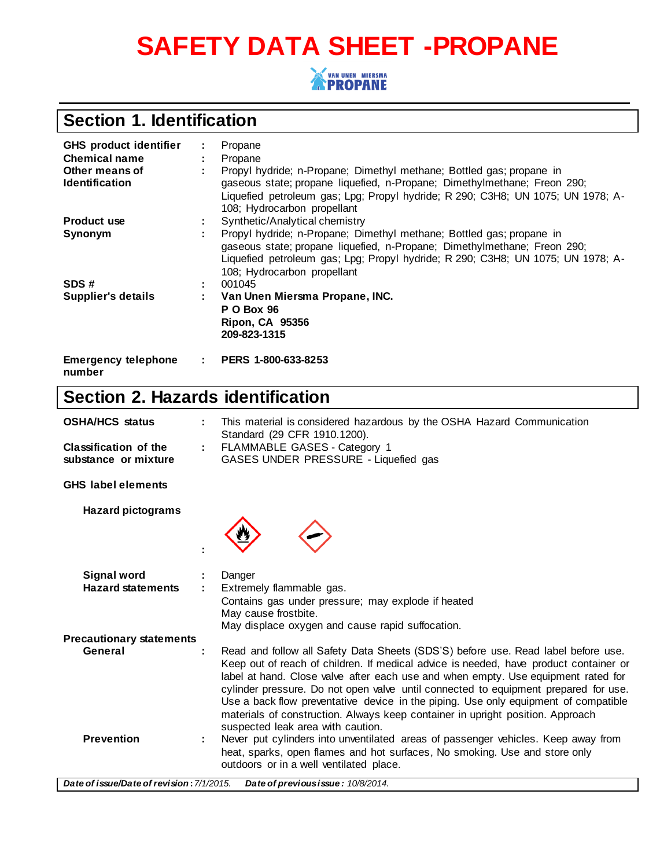# **SAFETY DATA SHEET -PROPANE**



## **Section 1. Identification**

| <b>GHS product identifier</b>        | ÷. | Propane                                                                                                                                                                                                                                                            |
|--------------------------------------|----|--------------------------------------------------------------------------------------------------------------------------------------------------------------------------------------------------------------------------------------------------------------------|
| <b>Chemical name</b>                 | ÷. | Propane                                                                                                                                                                                                                                                            |
| Other means of                       |    | Propyl hydride; n-Propane; Dimethyl methane; Bottled gas; propane in                                                                                                                                                                                               |
| <b>Identification</b>                |    | gaseous state; propane liquefied, n-Propane; Dimethylmethane; Freon 290;                                                                                                                                                                                           |
|                                      |    | Liquefied petroleum gas; Lpg; Propyl hydride; R 290; C3H8; UN 1075; UN 1978; A-<br>108; Hydrocarbon propellant                                                                                                                                                     |
| <b>Product use</b>                   |    | Synthetic/Analytical chemistry                                                                                                                                                                                                                                     |
| Synonym                              |    | Propyl hydride; n-Propane; Dimethyl methane; Bottled gas; propane in<br>gaseous state; propane liquefied, n-Propane; Dimethylmethane; Freon 290;<br>Liquefied petroleum gas; Lpg; Propyl hydride; R 290; C3H8; UN 1075; UN 1978; A-<br>108; Hydrocarbon propellant |
| SDS#                                 |    | 001045                                                                                                                                                                                                                                                             |
| Supplier's details                   | ÷. | Van Unen Miersma Propane, INC.                                                                                                                                                                                                                                     |
|                                      |    | <b>P O Box 96</b>                                                                                                                                                                                                                                                  |
|                                      |    | <b>Ripon, CA 95356</b>                                                                                                                                                                                                                                             |
|                                      |    | 209-823-1315                                                                                                                                                                                                                                                       |
| <b>Emergency telephone</b><br>number |    | $\therefore$ PERS 1-800-633-8253                                                                                                                                                                                                                                   |

## **Section 2. Hazards identification**

| <b>OSHA/HCS status</b>                               |   | This material is considered hazardous by the OSHA Hazard Communication<br>Standard (29 CFR 1910.1200).                                                                                                                                                                                                                                                                                                                                                                                                                                                               |  |  |
|------------------------------------------------------|---|----------------------------------------------------------------------------------------------------------------------------------------------------------------------------------------------------------------------------------------------------------------------------------------------------------------------------------------------------------------------------------------------------------------------------------------------------------------------------------------------------------------------------------------------------------------------|--|--|
| <b>Classification of the</b><br>substance or mixture | ÷ | FLAMMABLE GASES - Category 1<br>GASES UNDER PRESSURE - Liquefied gas                                                                                                                                                                                                                                                                                                                                                                                                                                                                                                 |  |  |
| <b>GHS</b> label elements                            |   |                                                                                                                                                                                                                                                                                                                                                                                                                                                                                                                                                                      |  |  |
| <b>Hazard pictograms</b>                             |   |                                                                                                                                                                                                                                                                                                                                                                                                                                                                                                                                                                      |  |  |
| <b>Signal word</b><br><b>Hazard statements</b>       |   | Danger<br>Extremely flammable gas.<br>Contains gas under pressure; may explode if heated<br>May cause frostbite.<br>May displace oxygen and cause rapid suffocation.                                                                                                                                                                                                                                                                                                                                                                                                 |  |  |
| <b>Precautionary statements</b>                      |   |                                                                                                                                                                                                                                                                                                                                                                                                                                                                                                                                                                      |  |  |
| General                                              |   | Read and follow all Safety Data Sheets (SDS'S) before use. Read label before use.<br>Keep out of reach of children. If medical advice is needed, have product container or<br>label at hand. Close valve after each use and when empty. Use equipment rated for<br>cylinder pressure. Do not open valve until connected to equipment prepared for use.<br>Use a back flow preventative device in the piping. Use only equipment of compatible<br>materials of construction. Always keep container in upright position. Approach<br>suspected leak area with caution. |  |  |
| <b>Prevention</b>                                    |   | Never put cylinders into unventilated areas of passenger vehicles. Keep away from<br>heat, sparks, open flames and hot surfaces, No smoking. Use and store only<br>outdoors or in a well ventilated place.                                                                                                                                                                                                                                                                                                                                                           |  |  |
| Date of issue/Date of revision: 7/1/2015.            |   | Date of previous issue: 10/8/2014.                                                                                                                                                                                                                                                                                                                                                                                                                                                                                                                                   |  |  |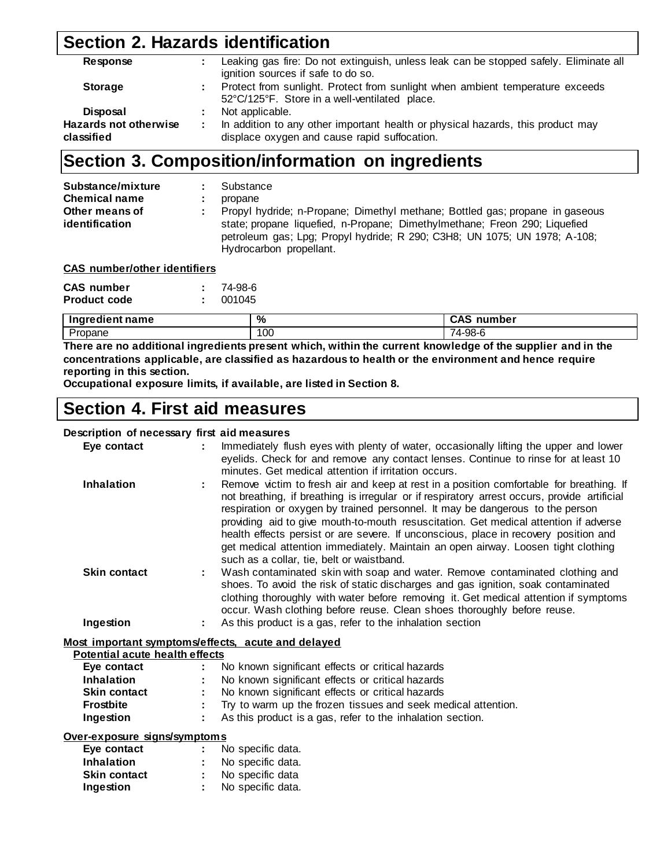### **Section 2. Hazards identification**

| Leaking gas fire: Do not extinguish, unless leak can be stopped safely. Eliminate all<br>ignition sources if safe to do so.     |
|---------------------------------------------------------------------------------------------------------------------------------|
| Protect from sunlight. Protect from sunlight when ambient temperature exceeds<br>52°C/125°F. Store in a well-ventilated place.  |
| Not applicable.                                                                                                                 |
| In addition to any other important health or physical hazards, this product may<br>displace oxygen and cause rapid suffocation. |
|                                                                                                                                 |

### **Section 3. Composition/information on ingredients**

| Substance/mixture<br><b>Chemical name</b><br>Other means of | Substance<br>propane<br>Propyl hydride; n-Propane; Dimethyl methane; Bottled gas; propane in gaseous                                                                               |
|-------------------------------------------------------------|------------------------------------------------------------------------------------------------------------------------------------------------------------------------------------|
| identification                                              | state; propane liquefied, n-Propane; Dimethylmethane; Freon 290; Liquefied<br>petroleum gas; Lpg; Propyl hydride; R 290; C3H8; UN 1075; UN 1978; A-108;<br>Hydrocarbon propellant. |

| <b>CAS</b> number/other identifiers |  |
|-------------------------------------|--|
|                                     |  |

| <b>CAS</b> number   | 74-98-6 |
|---------------------|---------|
| <b>Product code</b> | 001045  |

| .<br><br>.<br>me<br><br>__<br>$\sim$ $\sim$ $\sim$ $\sim$ $\sim$ $\sim$ | %   | $\bullet$<br>\umhar<br>__ |
|-------------------------------------------------------------------------|-----|---------------------------|
| -<br>ane                                                                | 100 | ററ<br>.<br>IJU            |

**There are no additional ingredients present which, within the current knowledge of the supplier and in the concentrations applicable, are classified as hazardous to health or the environment and hence require reporting in this section.**

**Occupational exposure limits, if available, are listed in Section 8.**

## **Section 4. First aid measures**

#### **Description of necessary first aid measures**

| Eye contact                    | Immediately flush eyes with plenty of water, occasionally lifting the upper and lower<br>eyelids. Check for and remove any contact lenses. Continue to rinse for at least 10<br>minutes. Get medical attention if irritation occurs.                                                                                                                                                                                                                                                                                                                                                             |
|--------------------------------|--------------------------------------------------------------------------------------------------------------------------------------------------------------------------------------------------------------------------------------------------------------------------------------------------------------------------------------------------------------------------------------------------------------------------------------------------------------------------------------------------------------------------------------------------------------------------------------------------|
| <b>Inhalation</b>              | Remove victim to fresh air and keep at rest in a position comfortable for breathing. If<br>÷.<br>not breathing, if breathing is irregular or if respiratory arrest occurs, provide artificial<br>respiration or oxygen by trained personnel. It may be dangerous to the person<br>providing aid to give mouth-to-mouth resuscitation. Get medical attention if adverse<br>health effects persist or are severe. If unconscious, place in recovery position and<br>get medical attention immediately. Maintain an open airway. Loosen tight clothing<br>such as a collar, tie, belt or waistband. |
| <b>Skin contact</b>            | Wash contaminated skin with soap and water. Remove contaminated clothing and<br>÷.<br>shoes. To avoid the risk of static discharges and gas ignition, soak contaminated<br>clothing thoroughly with water before removing it. Get medical attention if symptoms<br>occur. Wash clothing before reuse. Clean shoes thoroughly before reuse.                                                                                                                                                                                                                                                       |
| Ingestion                      | As this product is a gas, refer to the inhalation section<br>÷.                                                                                                                                                                                                                                                                                                                                                                                                                                                                                                                                  |
|                                | Most important symptoms/effects, acute and delayed                                                                                                                                                                                                                                                                                                                                                                                                                                                                                                                                               |
| Potential acute health effects |                                                                                                                                                                                                                                                                                                                                                                                                                                                                                                                                                                                                  |
| Eye contact                    | No known significant effects or critical hazards                                                                                                                                                                                                                                                                                                                                                                                                                                                                                                                                                 |

**Inhalation :** No known significant effects or critical hazards **Skin contact :** No known significant effects or critical hazards

- **Frostbite :** Try to warm up the frozen tissues and seek medical attention.
- **Ingestion :** As this product is a gas, refer to the inhalation section.

| Over-exposure_signs/symptoms |  |  |
|------------------------------|--|--|
|                              |  |  |

| No specific data. |
|-------------------|
| No specific data. |
| No specific data  |
| No specific data. |
|                   |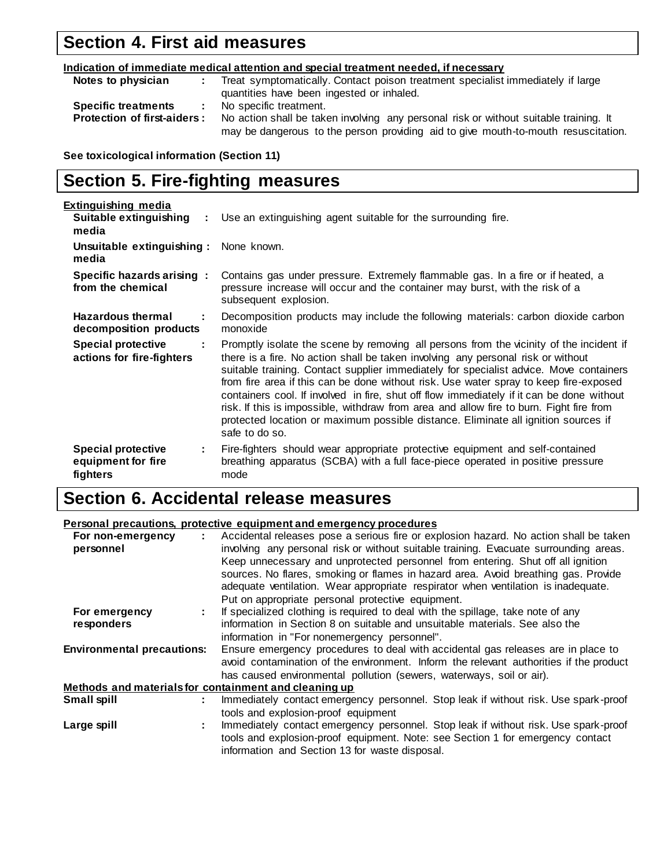## **Section 4. First aid measures**

| Indication of immediate medical attention and special treatment needed, if necessary |                                                                                       |  |  |
|--------------------------------------------------------------------------------------|---------------------------------------------------------------------------------------|--|--|
| Notes to physician                                                                   | Treat symptomatically. Contact poison treatment specialist immediately if large       |  |  |
|                                                                                      | quantities have been ingested or inhaled.                                             |  |  |
| <b>Specific treatments</b><br>it is a                                                | No specific treatment.                                                                |  |  |
| <b>Protection of first-aiders:</b>                                                   | No action shall be taken involving any personal risk or without suitable training. It |  |  |
|                                                                                      | may be dangerous to the person providing aid to give mouth-to-mouth resuscitation.    |  |  |

**See toxicological information (Section 11)**

## **Section 5. Fire-fighting measures**

| <u>Extinguishing media</u>                                       |                                                                                                                                                                                                                                                                                                                                                                                                                                                                                                                                                                                                                                                                |
|------------------------------------------------------------------|----------------------------------------------------------------------------------------------------------------------------------------------------------------------------------------------------------------------------------------------------------------------------------------------------------------------------------------------------------------------------------------------------------------------------------------------------------------------------------------------------------------------------------------------------------------------------------------------------------------------------------------------------------------|
| Suitable extinguishing<br>media                                  | Use an extinguishing agent suitable for the surrounding fire.                                                                                                                                                                                                                                                                                                                                                                                                                                                                                                                                                                                                  |
| Unsuitable extinguishing:<br>media                               | None known.                                                                                                                                                                                                                                                                                                                                                                                                                                                                                                                                                                                                                                                    |
| Specific hazards arising :<br>from the chemical                  | Contains gas under pressure. Extremely flammable gas. In a fire or if heated, a<br>pressure increase will occur and the container may burst, with the risk of a<br>subsequent explosion.                                                                                                                                                                                                                                                                                                                                                                                                                                                                       |
| <b>Hazardous thermal</b><br>÷<br>decomposition products          | Decomposition products may include the following materials: carbon dioxide carbon<br>monoxide                                                                                                                                                                                                                                                                                                                                                                                                                                                                                                                                                                  |
| <b>Special protective</b><br>÷<br>actions for fire-fighters      | Promptly isolate the scene by removing all persons from the vicinity of the incident if<br>there is a fire. No action shall be taken involving any personal risk or without<br>suitable training. Contact supplier immediately for specialist advice. Move containers<br>from fire area if this can be done without risk. Use water spray to keep fire-exposed<br>containers cool. If involved in fire, shut off flow immediately if it can be done without<br>risk. If this is impossible, withdraw from area and allow fire to burn. Fight fire from<br>protected location or maximum possible distance. Eliminate all ignition sources if<br>safe to do so. |
| <b>Special protective</b><br>÷<br>equipment for fire<br>fighters | Fire-fighters should wear appropriate protective equipment and self-contained<br>breathing apparatus (SCBA) with a full face-piece operated in positive pressure<br>mode                                                                                                                                                                                                                                                                                                                                                                                                                                                                                       |

## **Section 6. Accidental release measures**

#### **Personal precautions, protective equipment and emergency procedures**

| For non-emergency<br>personnel    |  | Accidental releases pose a serious fire or explosion hazard. No action shall be taken<br>involving any personal risk or without suitable training. Evacuate surrounding areas.                                                                             |  |  |  |
|-----------------------------------|--|------------------------------------------------------------------------------------------------------------------------------------------------------------------------------------------------------------------------------------------------------------|--|--|--|
|                                   |  | Keep unnecessary and unprotected personnel from entering. Shut off all ignition<br>sources. No flares, smoking or flames in hazard area. Avoid breathing gas. Provide<br>adequate ventilation. Wear appropriate respirator when ventilation is inadequate. |  |  |  |
|                                   |  | Put on appropriate personal protective equipment.                                                                                                                                                                                                          |  |  |  |
| For emergency                     |  | If specialized clothing is required to deal with the spillage, take note of any                                                                                                                                                                            |  |  |  |
| responders                        |  | information in Section 8 on suitable and unsuitable materials. See also the                                                                                                                                                                                |  |  |  |
|                                   |  | information in "For nonemergency personnel".                                                                                                                                                                                                               |  |  |  |
| <b>Environmental precautions:</b> |  | Ensure emergency procedures to deal with accidental gas releases are in place to<br>avoid contamination of the environment. Inform the relevant authorities if the product                                                                                 |  |  |  |
|                                   |  | has caused environmental pollution (sewers, waterways, soil or air).                                                                                                                                                                                       |  |  |  |
|                                   |  | Methods and materials for containment and cleaning up                                                                                                                                                                                                      |  |  |  |
| Small spill                       |  | Immediately contact emergency personnel. Stop leak if without risk. Use spark-proof                                                                                                                                                                        |  |  |  |
|                                   |  | tools and explosion-proof equipment                                                                                                                                                                                                                        |  |  |  |
| Large spill                       |  | Immediately contact emergency personnel. Stop leak if without risk. Use spark-proof<br>tools and explosion-proof equipment. Note: see Section 1 for emergency contact<br>information and Section 13 for waste disposal.                                    |  |  |  |
|                                   |  |                                                                                                                                                                                                                                                            |  |  |  |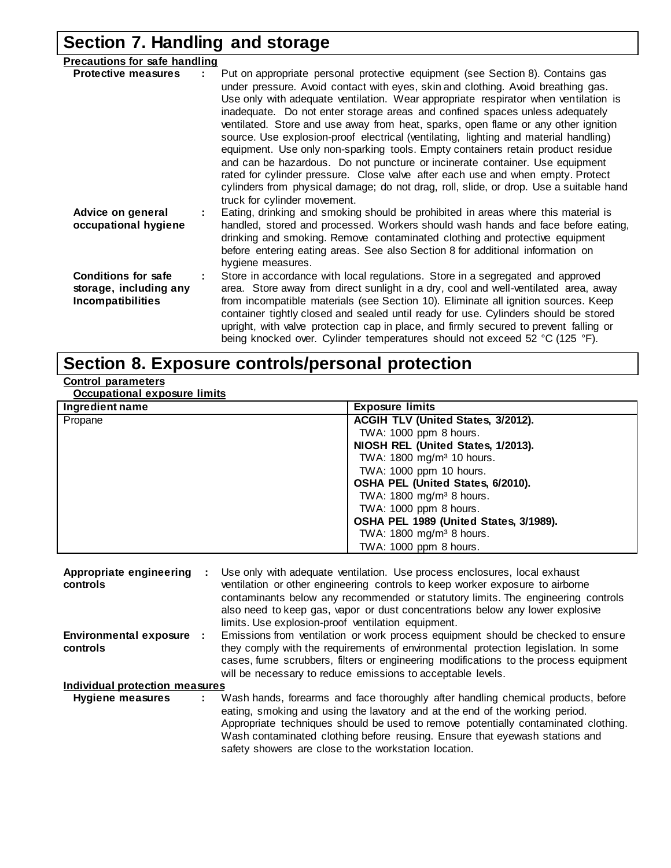## **Section 7. Handling and storage**

| <b>Precautions for safe handling</b>                                             |                                                                                                                                                                                                                                                                                                                                                                                                                                                                                                                                                                                                                                                                                                                                                                                                                                                                                                         |
|----------------------------------------------------------------------------------|---------------------------------------------------------------------------------------------------------------------------------------------------------------------------------------------------------------------------------------------------------------------------------------------------------------------------------------------------------------------------------------------------------------------------------------------------------------------------------------------------------------------------------------------------------------------------------------------------------------------------------------------------------------------------------------------------------------------------------------------------------------------------------------------------------------------------------------------------------------------------------------------------------|
| <b>Protective measures</b>                                                       | Put on appropriate personal protective equipment (see Section 8). Contains gas<br>under pressure. Avoid contact with eyes, skin and clothing. Avoid breathing gas.<br>Use only with adequate ventilation. Wear appropriate respirator when ventilation is<br>inadequate. Do not enter storage areas and confined spaces unless adequately<br>ventilated. Store and use away from heat, sparks, open flame or any other ignition<br>source. Use explosion-proof electrical (ventilating, lighting and material handling)<br>equipment. Use only non-sparking tools. Empty containers retain product residue<br>and can be hazardous. Do not puncture or incinerate container. Use equipment<br>rated for cylinder pressure. Close valve after each use and when empty. Protect<br>cylinders from physical damage; do not drag, roll, slide, or drop. Use a suitable hand<br>truck for cylinder movement. |
| Advice on general<br>occupational hygiene                                        | Eating, drinking and smoking should be prohibited in areas where this material is<br>handled, stored and processed. Workers should wash hands and face before eating,<br>drinking and smoking. Remove contaminated clothing and protective equipment<br>before entering eating areas. See also Section 8 for additional information on<br>hygiene measures.                                                                                                                                                                                                                                                                                                                                                                                                                                                                                                                                             |
| <b>Conditions for safe</b><br>storage, including any<br><b>Incompatibilities</b> | Store in accordance with local regulations. Store in a segregated and approved<br>area. Store away from direct sunlight in a dry, cool and well-ventilated area, away<br>from incompatible materials (see Section 10). Eliminate all ignition sources. Keep<br>container tightly closed and sealed until ready for use. Cylinders should be stored<br>upright, with valve protection cap in place, and firmly secured to prevent falling or<br>being knocked over. Cylinder temperatures should not exceed 52 °C (125 °F).                                                                                                                                                                                                                                                                                                                                                                              |

## **Section 8. Exposure controls/personal protection**

#### **Control parameters**

**Occupational exposure limits**

| Ingredient name | <b>Exposure limits</b>                 |
|-----------------|----------------------------------------|
| Propane         | ACGIH TLV (United States, 3/2012).     |
|                 | TWA: 1000 ppm 8 hours.                 |
|                 | NIOSH REL (United States, 1/2013).     |
|                 | TWA: 1800 mg/m <sup>3</sup> 10 hours.  |
|                 | TWA: 1000 ppm 10 hours.                |
|                 | OSHA PEL (United States, 6/2010).      |
|                 | TWA: 1800 mg/m <sup>3</sup> 8 hours.   |
|                 | TWA: 1000 ppm 8 hours.                 |
|                 | OSHA PEL 1989 (United States, 3/1989). |
|                 | TWA: 1800 mg/m <sup>3</sup> 8 hours.   |
|                 | TWA: 1000 ppm 8 hours.                 |

| Appropriate engineering<br>controls   | Use only with adequate ventilation. Use process enclosures, local exhaust<br>ventilation or other engineering controls to keep worker exposure to airborne<br>contaminants below any recommended or statutory limits. The engineering controls<br>also need to keep gas, vapor or dust concentrations below any lower explosive<br>limits. Use explosion-proof ventilation equipment.           |
|---------------------------------------|-------------------------------------------------------------------------------------------------------------------------------------------------------------------------------------------------------------------------------------------------------------------------------------------------------------------------------------------------------------------------------------------------|
| Environmental exposure :<br>controls  | Emissions from ventilation or work process equipment should be checked to ensure<br>they comply with the requirements of environmental protection legislation. In some<br>cases, fume scrubbers, filters or engineering modifications to the process equipment<br>will be necessary to reduce emissions to acceptable levels.                                                                   |
| <b>Individual protection measures</b> |                                                                                                                                                                                                                                                                                                                                                                                                 |
| Hygiene measures                      | Wash hands, forearms and face thoroughly after handling chemical products, before<br>eating, smoking and using the lavatory and at the end of the working period.<br>Appropriate techniques should be used to remove potentially contaminated clothing.<br>Wash contaminated clothing before reusing. Ensure that eyewash stations and<br>safety showers are close to the workstation location. |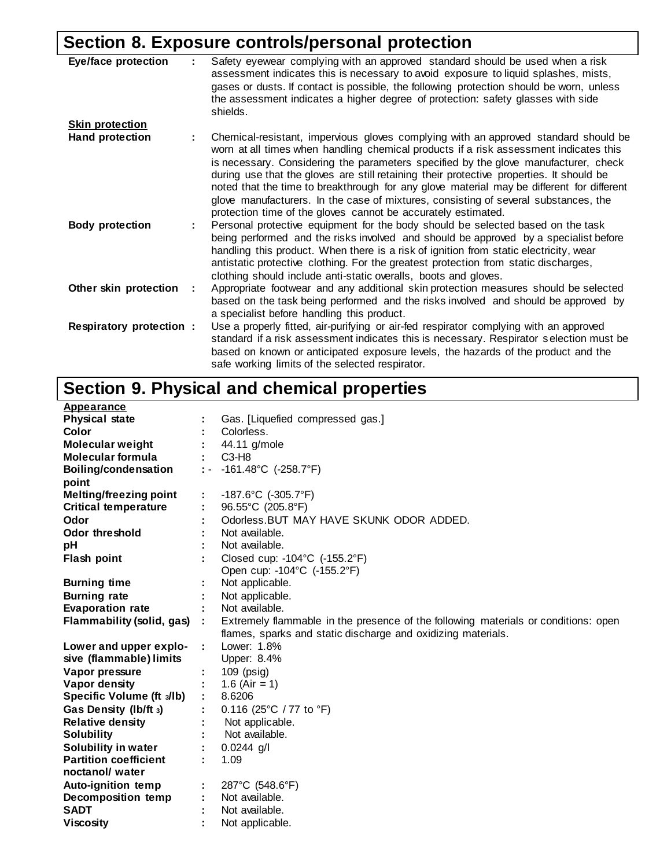## **Section 8. Exposure controls/personal protection**

| <b>Eye/face protection</b> | Safety eyewear complying with an approved standard should be used when a risk<br>assessment indicates this is necessary to avoid exposure to liquid splashes, mists,<br>gases or dusts. If contact is possible, the following protection should be worn, unless<br>the assessment indicates a higher degree of protection: safety glasses with side<br>shields.                                                                                                                                                                                     |
|----------------------------|-----------------------------------------------------------------------------------------------------------------------------------------------------------------------------------------------------------------------------------------------------------------------------------------------------------------------------------------------------------------------------------------------------------------------------------------------------------------------------------------------------------------------------------------------------|
| <b>Skin protection</b>     |                                                                                                                                                                                                                                                                                                                                                                                                                                                                                                                                                     |
| <b>Hand protection</b>     | Chemical-resistant, impervious gloves complying with an approved standard should be<br>worn at all times when handling chemical products if a risk assessment indicates this<br>is necessary. Considering the parameters specified by the glove manufacturer, check<br>during use that the gloves are still retaining their protective properties. It should be<br>noted that the time to breakthrough for any glove material may be different for different<br>glove manufacturers. In the case of mixtures, consisting of several substances, the |
|                            | protection time of the gloves cannot be accurately estimated.                                                                                                                                                                                                                                                                                                                                                                                                                                                                                       |
| <b>Body protection</b>     | Personal protective equipment for the body should be selected based on the task<br>being performed and the risks involved and should be approved by a specialist before<br>handling this product. When there is a risk of ignition from static electricity, wear<br>antistatic protective clothing. For the greatest protection from static discharges,<br>clothing should include anti-static overalls, boots and gloves.                                                                                                                          |
| Other skin protection      | Appropriate footwear and any additional skin protection measures should be selected                                                                                                                                                                                                                                                                                                                                                                                                                                                                 |
|                            | based on the task being performed and the risks involved and should be approved by<br>a specialist before handling this product.                                                                                                                                                                                                                                                                                                                                                                                                                    |
| Respiratory protection :   | Use a properly fitted, air-purifying or air-fed respirator complying with an approved                                                                                                                                                                                                                                                                                                                                                                                                                                                               |
|                            | standard if a risk assessment indicates this is necessary. Respirator selection must be                                                                                                                                                                                                                                                                                                                                                                                                                                                             |
|                            | based on known or anticipated exposure levels, the hazards of the product and the<br>safe working limits of the selected respirator.                                                                                                                                                                                                                                                                                                                                                                                                                |

## **Section 9. Physical and chemical properties**

| Appearance                    |                    |                                                                                    |
|-------------------------------|--------------------|------------------------------------------------------------------------------------|
| <b>Physical state</b>         |                    | Gas. [Liquefied compressed gas.]                                                   |
| <b>Color</b>                  |                    | Colorless.                                                                         |
| <b>Molecular weight</b>       |                    | 44.11 g/mole                                                                       |
| <b>Molecular formula</b>      |                    | $C3-H8$                                                                            |
| <b>Boiling/condensation</b>   | $\mathbb{R}^{n-1}$ | -161.48°C (-258.7°F)                                                               |
| point                         |                    |                                                                                    |
| <b>Melting/freezing point</b> | ÷.                 | -187.6°C $(-305.7°F)$                                                              |
| <b>Critical temperature</b>   |                    | 96.55°C (205.8°F)                                                                  |
| Odor                          |                    | Odorless. BUT MAY HAVE SKUNK ODOR ADDED.                                           |
| <b>Odor threshold</b>         |                    | Not available.                                                                     |
| рH                            |                    | Not available.                                                                     |
| Flash point                   |                    | Closed cup: -104°C (-155.2°F)                                                      |
|                               |                    | Open cup: -104°C (-155.2°F)                                                        |
| <b>Burning time</b>           |                    | Not applicable.                                                                    |
| <b>Burning rate</b>           |                    | Not applicable.                                                                    |
| <b>Evaporation rate</b>       |                    | Not available.                                                                     |
| Flammability (solid, gas) :   |                    | Extremely flammable in the presence of the following materials or conditions: open |
|                               |                    | flames, sparks and static discharge and oxidizing materials.                       |
| Lower and upper explo-        |                    | Lower: 1.8%                                                                        |
| sive (flammable) limits       |                    | Upper: 8.4%                                                                        |
| Vapor pressure                |                    | $109$ ( $psiq$ )                                                                   |
| Vapor density                 |                    | 1.6 (Air = 1)                                                                      |
| Specific Volume (ft s/lb)     |                    | 8.6206                                                                             |
| Gas Density (Ib/ft 3)         |                    | 0.116 (25°C / 77 to $\degree$ F)                                                   |
| <b>Relative density</b>       |                    | Not applicable.                                                                    |
| <b>Solubility</b>             |                    | Not available.                                                                     |
| Solubility in water           |                    | $0.0244$ g/l                                                                       |
| <b>Partition coefficient</b>  |                    | 1.09                                                                               |
| noctanol/water                |                    |                                                                                    |
| <b>Auto-ignition temp</b>     |                    | 287°C (548.6°F)                                                                    |
| Decomposition temp            |                    | Not available.                                                                     |
| <b>SADT</b>                   |                    | Not available.                                                                     |
| <b>Viscosity</b>              |                    | Not applicable.                                                                    |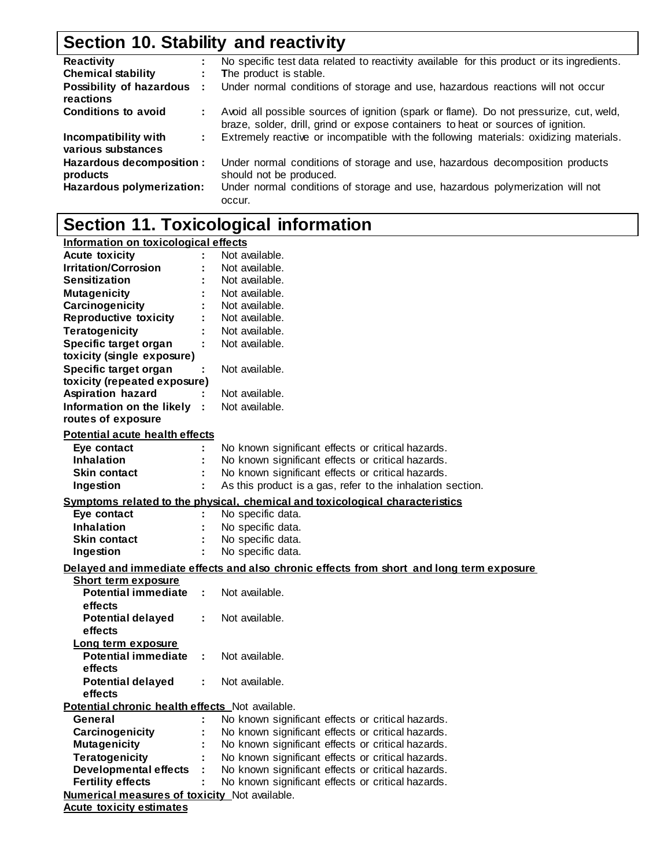## **Section 10. Stability and reactivity**

| <b>Reactivity</b>                          | No specific test data related to reactivity available for this product or its ingredients.                                                                                 |
|--------------------------------------------|----------------------------------------------------------------------------------------------------------------------------------------------------------------------------|
| <b>Chemical stability</b>                  | The product is stable.                                                                                                                                                     |
| Possibility of hazardous :<br>reactions    | Under normal conditions of storage and use, hazardous reactions will not occur                                                                                             |
| <b>Conditions to avoid</b>                 | Avoid all possible sources of ignition (spark or flame). Do not pressurize, cut, weld,<br>braze, solder, drill, grind or expose containers to heat or sources of ignition. |
| Incompatibility with<br>various substances | Extremely reactive or incompatible with the following materials: oxidizing materials.                                                                                      |
| Hazardous decomposition :<br>products      | Under normal conditions of storage and use, hazardous decomposition products<br>should not be produced.                                                                    |
| Hazardous polymerization:                  | Under normal conditions of storage and use, hazardous polymerization will not<br>occur.                                                                                    |

## **Section 11. Toxicological information**

| Information on toxicological effects                 |    |                                                                                          |
|------------------------------------------------------|----|------------------------------------------------------------------------------------------|
| <b>Acute toxicity</b>                                |    | Not available.                                                                           |
| <b>Irritation/Corrosion</b>                          |    | Not available.                                                                           |
| <b>Sensitization</b>                                 |    | Not available.                                                                           |
| <b>Mutagenicity</b>                                  |    | Not available.                                                                           |
| Carcinogenicity                                      |    | Not available.                                                                           |
| <b>Reproductive toxicity</b>                         |    | Not available.                                                                           |
| <b>Teratogenicity</b>                                |    | Not available.                                                                           |
| Specific target organ                                |    | Not available.                                                                           |
| toxicity (single exposure)                           |    |                                                                                          |
| Specific target organ                                |    | Not available.                                                                           |
| toxicity (repeated exposure)                         |    |                                                                                          |
| <b>Aspiration hazard</b>                             |    | Not available.                                                                           |
| Information on the likely :                          |    | Not available.                                                                           |
| routes of exposure                                   |    |                                                                                          |
| <b>Potential acute health effects</b>                |    |                                                                                          |
| Eye contact                                          |    | No known significant effects or critical hazards.                                        |
| <b>Inhalation</b>                                    |    | No known significant effects or critical hazards.                                        |
| <b>Skin contact</b>                                  |    | No known significant effects or critical hazards.                                        |
|                                                      | ÷  | As this product is a gas, refer to the inhalation section.                               |
| Ingestion                                            |    |                                                                                          |
|                                                      |    | Symptoms related to the physical, chemical and toxicological characteristics             |
| Eye contact                                          |    | No specific data.                                                                        |
| <b>Inhalation</b>                                    |    | No specific data.                                                                        |
| <b>Skin contact</b>                                  |    | No specific data.                                                                        |
| Ingestion                                            | ÷  | No specific data.                                                                        |
|                                                      |    | Delayed and immediate effects and also chronic effects from short and long term exposure |
| Short term exposure                                  |    |                                                                                          |
| <b>Potential immediate</b>                           |    | Not available.                                                                           |
| effects                                              |    |                                                                                          |
| <b>Potential delayed</b>                             | ÷  | Not available.                                                                           |
| effects                                              |    |                                                                                          |
| Long term exposure                                   |    |                                                                                          |
| <b>Potential immediate</b>                           | ÷. | Not available.                                                                           |
| effects                                              |    |                                                                                          |
| <b>Potential delayed</b>                             | ÷. | Not available.                                                                           |
| effects                                              |    |                                                                                          |
| Potential chronic health effects Not available.      |    |                                                                                          |
| General                                              |    | No known significant effects or critical hazards.                                        |
| Carcinogenicity                                      |    | No known significant effects or critical hazards.                                        |
| <b>Mutagenicity</b>                                  |    | No known significant effects or critical hazards.                                        |
| <b>Teratogenicity</b>                                |    | No known significant effects or critical hazards.                                        |
| <b>Developmental effects</b>                         |    | No known significant effects or critical hazards.                                        |
| <b>Fertility effects</b>                             |    | No known significant effects or critical hazards.                                        |
| <b>Numerical measures of toxicity</b> Not available. |    |                                                                                          |
| <b>Acute toxicity estimates</b>                      |    |                                                                                          |
|                                                      |    |                                                                                          |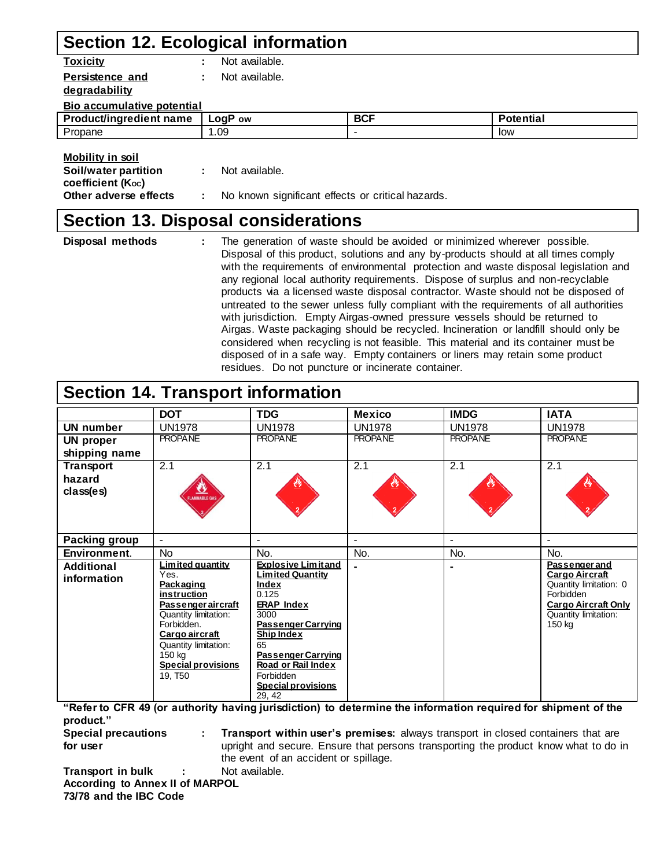## **Section 12. Ecological information**

| Not available.<br>٠        |            |                  |
|----------------------------|------------|------------------|
| Not available.<br>÷        |            |                  |
|                            |            |                  |
| Bio accumulative potential |            |                  |
| LogP ow                    | <b>BCF</b> | <b>Potential</b> |
| 1.09                       | ٠          | low              |
|                            |            |                  |
|                            |            |                  |
| Not available.<br>÷        |            |                  |
|                            |            |                  |

**Other adverse effects : No known significant effects or critical hazards.** 

### **Section 13. Disposal considerations**

| Disposal methods | The generation of waste should be avoided or minimized wherever possible.<br>Disposal of this product, solutions and any by-products should at all times comply<br>with the requirements of environmental protection and waste disposal legislation and<br>any regional local authority requirements. Dispose of surplus and non-recyclable<br>products via a licensed waste disposal contractor. Waste should not be disposed of<br>untreated to the sewer unless fully compliant with the requirements of all authorities<br>with jurisdiction. Empty Airgas-owned pressure vessels should be returned to<br>Airgas. Waste packaging should be recycled. Incineration or landfill should only be<br>considered when recycling is not feasible. This material and its container must be<br>disposed of in a safe way. Empty containers or liners may retain some product |
|------------------|---------------------------------------------------------------------------------------------------------------------------------------------------------------------------------------------------------------------------------------------------------------------------------------------------------------------------------------------------------------------------------------------------------------------------------------------------------------------------------------------------------------------------------------------------------------------------------------------------------------------------------------------------------------------------------------------------------------------------------------------------------------------------------------------------------------------------------------------------------------------------|
|                  | residues. Do not puncture or incinerate container.                                                                                                                                                                                                                                                                                                                                                                                                                                                                                                                                                                                                                                                                                                                                                                                                                        |

### **Section 14. Transport information**

|                                  | <b>DOT</b>                                                                                                                                                                                                               | <b>TDG</b>                                                                                                                                                                                                                                                         | <b>Mexico</b>  | <b>IMDG</b>    | <b>IATA</b>                                                                                                                                   |
|----------------------------------|--------------------------------------------------------------------------------------------------------------------------------------------------------------------------------------------------------------------------|--------------------------------------------------------------------------------------------------------------------------------------------------------------------------------------------------------------------------------------------------------------------|----------------|----------------|-----------------------------------------------------------------------------------------------------------------------------------------------|
| <b>UN number</b>                 | <b>UN1978</b>                                                                                                                                                                                                            | <b>UN1978</b>                                                                                                                                                                                                                                                      | <b>UN1978</b>  | <b>UN1978</b>  | <b>UN1978</b>                                                                                                                                 |
| <b>UN proper</b>                 | <b>PROPANE</b>                                                                                                                                                                                                           | <b>PROPANE</b>                                                                                                                                                                                                                                                     | <b>PROPANE</b> | <b>PROPANE</b> | <b>PROPANE</b>                                                                                                                                |
| shipping name                    |                                                                                                                                                                                                                          |                                                                                                                                                                                                                                                                    |                |                |                                                                                                                                               |
| <b>Transport</b>                 | 2.1                                                                                                                                                                                                                      | 2.1                                                                                                                                                                                                                                                                | 2.1            | 2.1            | 2.1                                                                                                                                           |
| hazard<br>class(es)              | જ<br>LAMMABLE GAS                                                                                                                                                                                                        |                                                                                                                                                                                                                                                                    |                |                |                                                                                                                                               |
| Packing group                    | $\blacksquare$                                                                                                                                                                                                           |                                                                                                                                                                                                                                                                    | $\blacksquare$ | $\blacksquare$ |                                                                                                                                               |
| Environment.                     | <b>No</b>                                                                                                                                                                                                                | No.                                                                                                                                                                                                                                                                | No.            | No.            | No.                                                                                                                                           |
| <b>Additional</b><br>information | Limited quantity<br>Yes.<br>Packaging<br>instruction<br>Passenger aircraft<br>Quantity limitation:<br>Forbidden.<br>Cargo aircraft<br>Quantity limitation:<br>150 kg<br><b>Special provisions</b><br>19, T <sub>50</sub> | <b>Explosive Limitand</b><br><b>Limited Quantity</b><br>Index<br>0.125<br><b>ERAP Index</b><br>3000<br><b>Passenger Carrying</b><br><b>Ship Index</b><br>65<br><b>Passenger Carrying</b><br>Road or Rail Index<br>Forbidden<br><b>Special provisions</b><br>29, 42 |                |                | <b>Passenger and</b><br>Cargo Aircraft<br>Quantity limitation: 0<br>Forbidden<br><b>Cargo Aircraft Only</b><br>Quantity limitation:<br>150 kg |

**"Refer to CFR 49 (or authority having jurisdiction) to determine the information required for shipment of the product."**

**Special precautions : Transport within user's premises:** always transport in closed containers that are **for user domain in the upright and secure. Ensure that persons transporting the product know what to do in** the event of an accident or spillage.

**Transport in bulk : Not available. According to Annex II of MARPOL 73/78 and the IBC Code**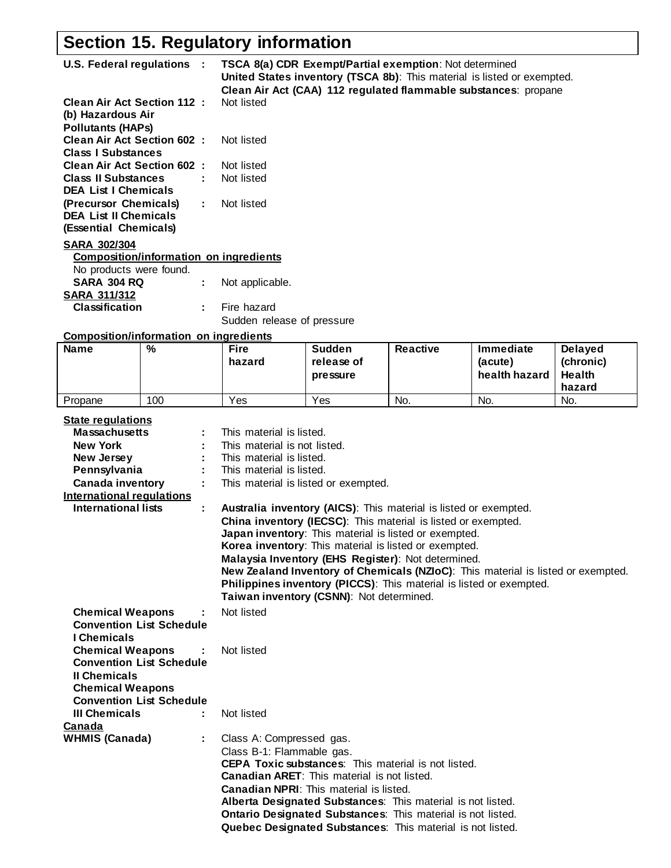## **Section 15. Regulatory information**

| U.S. Federal regulations :                                                                                   |     |                                               | TSCA 8(a) CDR Exempt/Partial exemption: Not determined<br>United States inventory (TSCA 8b): This material is listed or exempted.<br>Clean Air Act (CAA) 112 regulated flammable substances: propane |                 |                                                                                  |                                                        |  |
|--------------------------------------------------------------------------------------------------------------|-----|-----------------------------------------------|------------------------------------------------------------------------------------------------------------------------------------------------------------------------------------------------------|-----------------|----------------------------------------------------------------------------------|--------------------------------------------------------|--|
| <b>Clean Air Act Section 112:</b><br>(b) Hazardous Air<br><b>Pollutants (HAPs)</b>                           |     | Not listed                                    |                                                                                                                                                                                                      |                 |                                                                                  |                                                        |  |
| <b>Clean Air Act Section 602:</b><br><b>Class I Substances</b>                                               |     | Not listed                                    |                                                                                                                                                                                                      |                 |                                                                                  |                                                        |  |
| <b>Clean Air Act Section 602:</b><br><b>Class II Substances</b>                                              |     | Not listed<br>Not listed                      |                                                                                                                                                                                                      |                 |                                                                                  |                                                        |  |
| <b>DEA List I Chemicals</b><br>(Precursor Chemicals)<br><b>DEA List II Chemicals</b>                         |     | Not listed<br>÷.                              |                                                                                                                                                                                                      |                 |                                                                                  |                                                        |  |
| (Essential Chemicals)                                                                                        |     |                                               |                                                                                                                                                                                                      |                 |                                                                                  |                                                        |  |
| <b>SARA 302/304</b>                                                                                          |     |                                               |                                                                                                                                                                                                      |                 |                                                                                  |                                                        |  |
| No products were found.                                                                                      |     | <b>Composition/information on ingredients</b> |                                                                                                                                                                                                      |                 |                                                                                  |                                                        |  |
| <b>SARA 304 RQ</b>                                                                                           |     | Not applicable.<br>÷                          |                                                                                                                                                                                                      |                 |                                                                                  |                                                        |  |
| <b>SARA 311/312</b><br><b>Classification</b>                                                                 |     | Fire hazard<br>÷                              |                                                                                                                                                                                                      |                 |                                                                                  |                                                        |  |
|                                                                                                              |     |                                               | Sudden release of pressure                                                                                                                                                                           |                 |                                                                                  |                                                        |  |
| <b>Composition/information on ingredients</b>                                                                |     |                                               |                                                                                                                                                                                                      |                 |                                                                                  |                                                        |  |
| <b>Name</b>                                                                                                  | %   | <b>Fire</b><br>hazard                         | <b>Sudden</b><br>release of<br>pressure                                                                                                                                                              | <b>Reactive</b> | Immediate<br>(acute)<br>health hazard                                            | <b>Delayed</b><br>(chronic)<br><b>Health</b><br>hazard |  |
| Propane                                                                                                      | 100 | Yes                                           | Yes                                                                                                                                                                                                  | No.             | No.                                                                              | No.                                                    |  |
| <b>State regulations</b>                                                                                     |     |                                               |                                                                                                                                                                                                      |                 |                                                                                  |                                                        |  |
| <b>Massachusetts</b>                                                                                         |     | This material is listed.                      |                                                                                                                                                                                                      |                 |                                                                                  |                                                        |  |
| <b>New York</b>                                                                                              |     | This material is not listed.                  |                                                                                                                                                                                                      |                 |                                                                                  |                                                        |  |
| New Jersey                                                                                                   |     | This material is listed.                      |                                                                                                                                                                                                      |                 |                                                                                  |                                                        |  |
| Pennsylvania                                                                                                 |     | This material is listed.                      |                                                                                                                                                                                                      |                 |                                                                                  |                                                        |  |
| <b>Canada inventory</b>                                                                                      |     |                                               | This material is listed or exempted.                                                                                                                                                                 |                 |                                                                                  |                                                        |  |
| <b>International regulations</b>                                                                             |     |                                               |                                                                                                                                                                                                      |                 |                                                                                  |                                                        |  |
| <b>International lists</b>                                                                                   |     | t                                             | Australia inventory (AICS): This material is listed or exempted.<br>China inventory (IECSC): This material is listed or exempted.                                                                    |                 |                                                                                  |                                                        |  |
|                                                                                                              |     |                                               | Japan inventory: This material is listed or exempted.                                                                                                                                                |                 |                                                                                  |                                                        |  |
|                                                                                                              |     |                                               | Korea inventory: This material is listed or exempted.<br>Malaysia Inventory (EHS Register): Not determined.                                                                                          |                 |                                                                                  |                                                        |  |
|                                                                                                              |     |                                               | Philippines inventory (PICCS): This material is listed or exempted.<br>Taiwan inventory (CSNN): Not determined.                                                                                      |                 | New Zealand Inventory of Chemicals (NZIoC): This material is listed or exempted. |                                                        |  |
| <b>Chemical Weapons</b>                                                                                      |     | Not listed                                    |                                                                                                                                                                                                      |                 |                                                                                  |                                                        |  |
| <b>Convention List Schedule</b><br>I Chemicals                                                               |     |                                               |                                                                                                                                                                                                      |                 |                                                                                  |                                                        |  |
| <b>Chemical Weapons</b><br><b>Convention List Schedule</b><br><b>Il Chemicals</b><br><b>Chemical Weapons</b> |     | Not listed                                    |                                                                                                                                                                                                      |                 |                                                                                  |                                                        |  |
| <b>Convention List Schedule</b>                                                                              |     |                                               |                                                                                                                                                                                                      |                 |                                                                                  |                                                        |  |
| <b>III Chemicals</b><br>Canada                                                                               |     | Not listed<br>÷                               |                                                                                                                                                                                                      |                 |                                                                                  |                                                        |  |
| <b>WHMIS (Canada)</b>                                                                                        |     | Class A: Compressed gas.                      |                                                                                                                                                                                                      |                 |                                                                                  |                                                        |  |
|                                                                                                              |     | Class B-1: Flammable gas.                     |                                                                                                                                                                                                      |                 |                                                                                  |                                                        |  |
|                                                                                                              |     |                                               | <b>CEPA Toxic substances:</b> This material is not listed.                                                                                                                                           |                 |                                                                                  |                                                        |  |
|                                                                                                              |     |                                               | <b>Canadian ARET:</b> This material is not listed.                                                                                                                                                   |                 |                                                                                  |                                                        |  |
|                                                                                                              |     |                                               | <b>Canadian NPRI:</b> This material is listed.                                                                                                                                                       |                 |                                                                                  |                                                        |  |
|                                                                                                              |     |                                               | Alberta Designated Substances: This material is not listed.                                                                                                                                          |                 |                                                                                  |                                                        |  |
|                                                                                                              |     |                                               | Ontario Designated Substances: This material is not listed.                                                                                                                                          |                 |                                                                                  |                                                        |  |
|                                                                                                              |     |                                               | Quebec Designated Substances: This material is not listed.                                                                                                                                           |                 |                                                                                  |                                                        |  |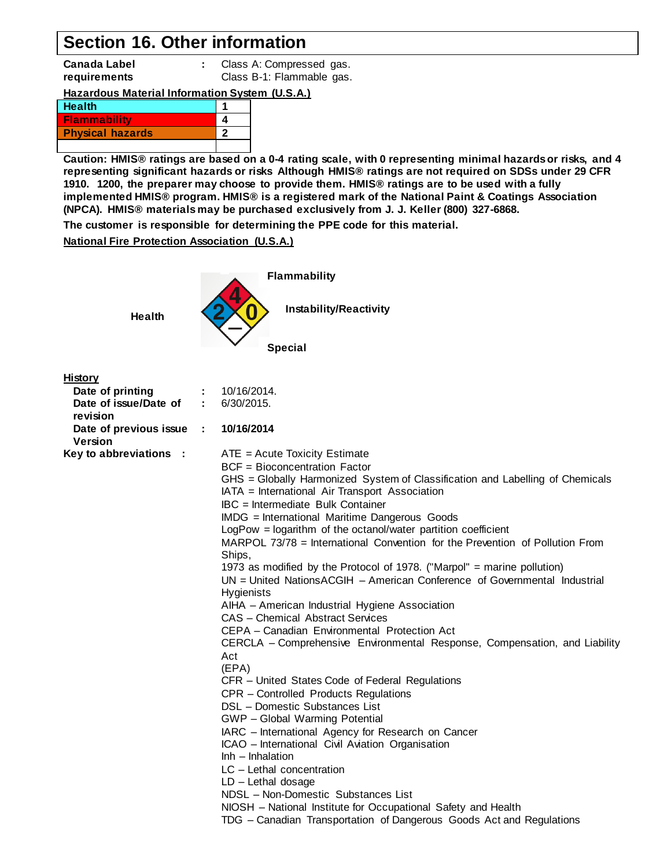### **Section 16. Other information**

**Canada Label : Class A: Compressed gas. requirements** Class B-1: Flammable gas.

#### **Hazardous Material Information System (U.S.A.)**

| Health                  |  |
|-------------------------|--|
| <b>Flammability</b>     |  |
| <b>Physical hazards</b> |  |
|                         |  |

**Caution: HMIS® ratings are based on a 0-4 rating scale, with 0 representing minimal hazards or risks, and 4 representing significant hazards or risks Although HMIS® ratings are not required on SDSs under 29 CFR 1910. 1200, the preparer may choose to provide them. HMIS® ratings are to be used with a fully implemented HMIS® program. HMIS® is a registered mark of the National Paint & Coatings Association (NPCA). HMIS® materials may be purchased exclusively from J. J. Keller (800) 327-6868.**

**The customer is responsible for determining the PPE code for this material.**

**National Fire Protection Association (U.S.A.)**



| <b>History</b>         |                                                                              |                                                                               |
|------------------------|------------------------------------------------------------------------------|-------------------------------------------------------------------------------|
| Date of printing       |                                                                              | : 10/16/2014.                                                                 |
| Date of issue/Date of  |                                                                              | : 6/30/2015.                                                                  |
| revision               |                                                                              |                                                                               |
| Date of previous issue | $\sim 10^7$                                                                  | 10/16/2014                                                                    |
| <b>Version</b>         |                                                                              |                                                                               |
| Key to abbreviations : |                                                                              | $ATE = Acute Toxicity Estimate$                                               |
|                        |                                                                              | <b>BCF</b> = Bioconcentration Factor                                          |
|                        |                                                                              | GHS = Globally Harmonized System of Classification and Labelling of Chemicals |
|                        |                                                                              | IATA = International Air Transport Association                                |
|                        |                                                                              | <b>IBC</b> = Intermediate Bulk Container                                      |
|                        |                                                                              | IMDG = International Maritime Dangerous Goods                                 |
|                        |                                                                              | LogPow = logarithm of the octanol/water partition coefficient                 |
|                        | MARPOL 73/78 = International Convention for the Prevention of Pollution From |                                                                               |
|                        |                                                                              | Ships,                                                                        |
|                        |                                                                              | 1973 as modified by the Protocol of 1978. ("Marpol" = marine pollution)       |
|                        |                                                                              | $UN = United NationsACGIH - American Conference of Governmental Industrial$   |
|                        |                                                                              | <b>Hygienists</b>                                                             |
|                        |                                                                              | AIHA - American Industrial Hygiene Association                                |
|                        |                                                                              | <b>CAS - Chemical Abstract Services</b>                                       |
|                        |                                                                              | CEPA - Canadian Environmental Protection Act                                  |
|                        |                                                                              | CERCLA - Comprehensive Environmental Response, Compensation, and Liability    |
|                        |                                                                              | Act                                                                           |
|                        |                                                                              | (EPA)                                                                         |
|                        |                                                                              | CFR - United States Code of Federal Regulations                               |
|                        |                                                                              | CPR - Controlled Products Regulations                                         |
|                        |                                                                              | DSL - Domestic Substances List                                                |
|                        |                                                                              | GWP - Global Warming Potential                                                |
|                        |                                                                              | IARC - International Agency for Research on Cancer                            |
|                        |                                                                              | ICAO - International Civil Aviation Organisation                              |
|                        |                                                                              | $Inh$ – Inhalation                                                            |
|                        |                                                                              | LC - Lethal concentration                                                     |
|                        |                                                                              | $LD - Let$ hal dosage                                                         |
|                        |                                                                              | NDSL - Non-Domestic Substances List                                           |
|                        |                                                                              | NIOSH - National Institute for Occupational Safety and Health                 |
|                        |                                                                              | TDG - Canadian Transportation of Dangerous Goods Act and Regulations          |
|                        |                                                                              |                                                                               |